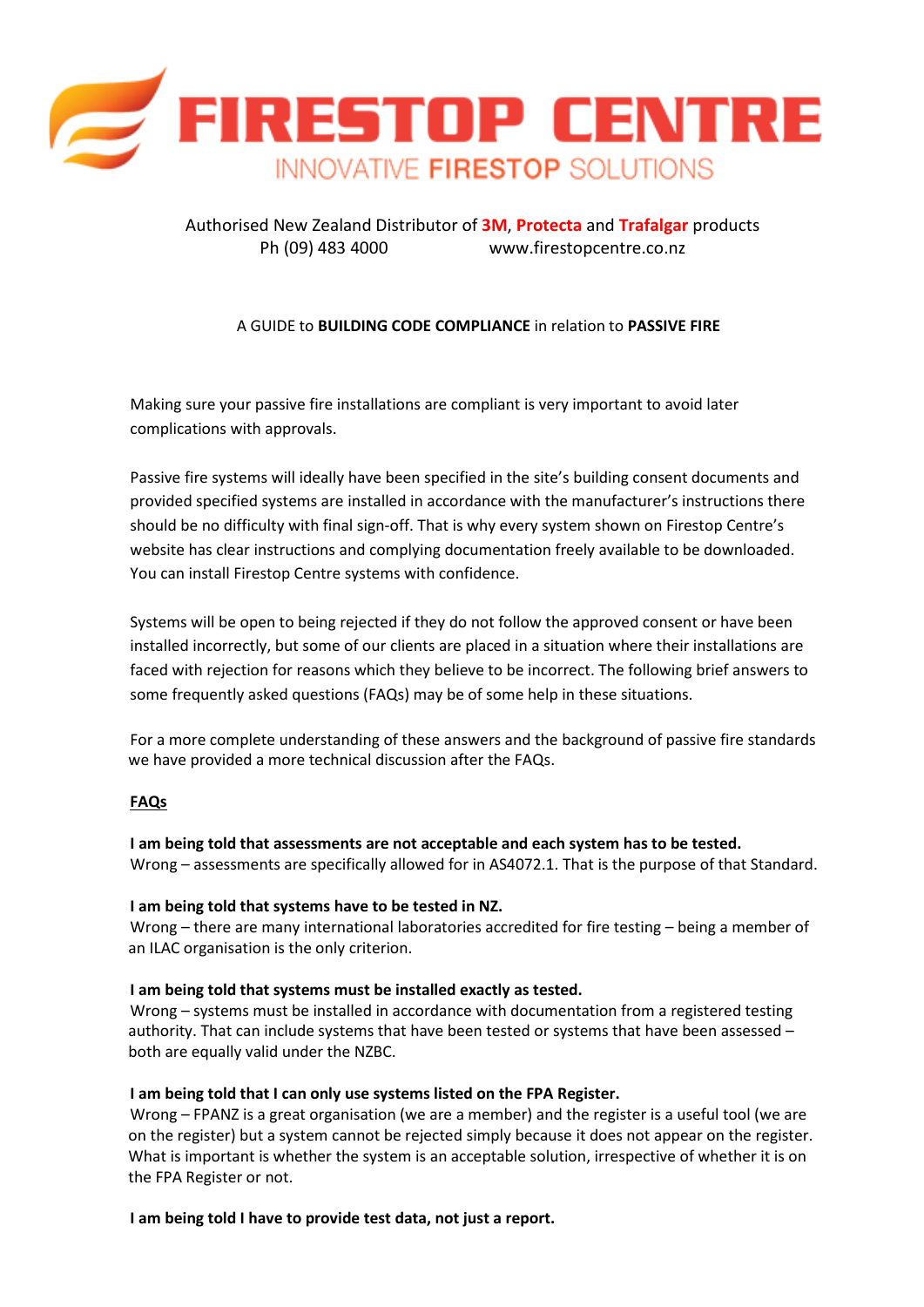

# Authorised New Zealand Distributor of **3M**, **Protecta** and **Trafalgar** products Ph (09) 483 4000 [www.firestopcentre.co.nz](http://www.firestopcentre.co.nz/)

# A GUIDE to **BUILDING CODE COMPLIANCE** in relation to **PASSIVE FIRE**

Making sure your passive fire installations are compliant is very important to avoid later complications with approvals.

Passive fire systems will ideally have been specified in the site's building consent documents and provided specified systems are installed in accordance with the manufacturer's instructions there should be no difficulty with final sign-off. That is why every system shown on Firestop Centre's website has clear instructions and complying documentation freely available to be downloaded. You can install Firestop Centre systems with confidence.

Systems will be open to being rejected if they do not follow the approved consent or have been installed incorrectly, but some of our clients are placed in a situation where their installations are faced with rejection for reasons which they believe to be incorrect. The following brief answers to some frequently asked questions (FAQs) may be of some help in these situations.

For a more complete understanding of these answers and the background of passive fire standards we have provided a more technical discussion after the FAQs.

# **FAQs**

**I am being told that assessments are not acceptable and each system has to be tested.** Wrong – assessments are specifically allowed for in AS4072.1. That is the purpose of that Standard.

#### **I am being told that systems have to be tested in NZ.**

Wrong – there are many international laboratories accredited for fire testing – being a member of an ILAC organisation is the only criterion.

#### **I am being told that systems must be installed exactly as tested.**

Wrong – systems must be installed in accordance with documentation from a registered testing authority. That can include systems that have been tested or systems that have been assessed – both are equally valid under the NZBC.

#### **I am being told that I can only use systems listed on the FPA Register.**

Wrong – FPANZ is a great organisation (we are a member) and the register is a useful tool (we are on the register) but a system cannot be rejected simply because it does not appear on the register. What is important is whether the system is an acceptable solution, irrespective of whether it is on the FPA Register or not.

**I am being told I have to provide test data, not just a report.**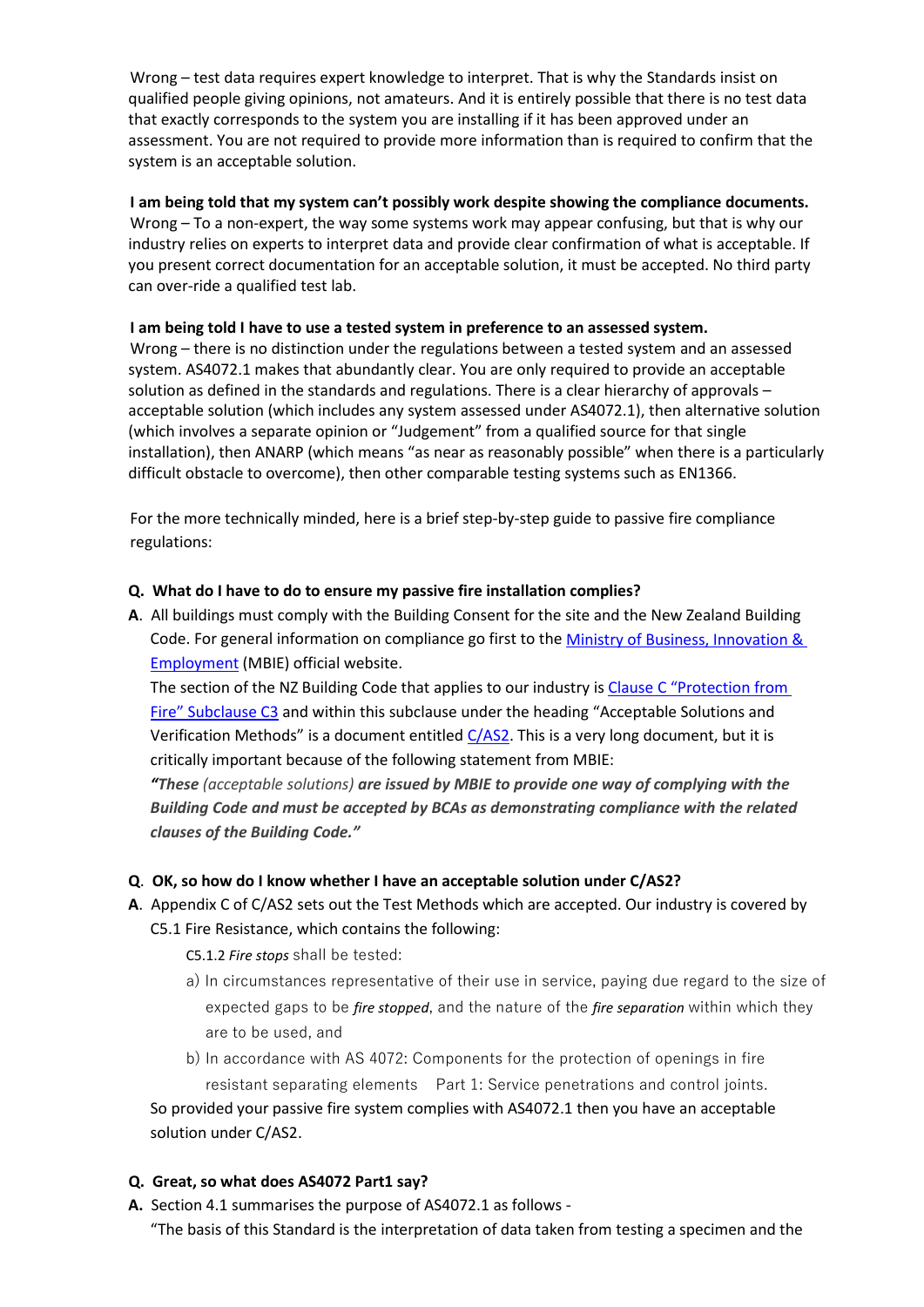Wrong – test data requires expert knowledge to interpret. That is why the Standards insist on qualified people giving opinions, not amateurs. And it is entirely possible that there is no test data that exactly corresponds to the system you are installing if it has been approved under an assessment. You are not required to provide more information than is required to confirm that the system is an acceptable solution.

## **I am being told that my system can't possibly work despite showing the compliance documents.**

Wrong – To a non-expert, the way some systems work may appear confusing, but that is why our industry relies on experts to interpret data and provide clear confirmation of what is acceptable. If you present correct documentation for an acceptable solution, it must be accepted. No third party can over-ride a qualified test lab.

## **I am being told I have to use a tested system in preference to an assessed system.**

Wrong – there is no distinction under the regulations between a tested system and an assessed system. AS4072.1 makes that abundantly clear. You are only required to provide an acceptable solution as defined in the standards and regulations. There is a clear hierarchy of approvals – acceptable solution (which includes any system assessed under AS4072.1), then alternative solution (which involves a separate opinion or "Judgement" from a qualified source for that single installation), then ANARP (which means "as near as reasonably possible" when there is a particularly difficult obstacle to overcome), then other comparable testing systems such as EN1366.

For the more technically minded, here is a brief step-by-step guide to passive fire compliance regulations:

## **Q. What do I have to do to ensure my passive fire installation complies?**

**A**. All buildings must comply with the Building Consent for the site and the New Zealand Building Code. For general information on compliance go first to the [Ministry of Business, Innovation &](https://www.building.govt.nz/)  [Employment](https://www.building.govt.nz/) (MBIE) official website.

The section of the NZ Building Code that applies to our industry is [Clause C "Protection from](https://www.building.govt.nz/building-code-compliance/c-protection-from-fire/c3-fire-affecting-areas-beyond-the-source/)  [Fire" Subclause C3](https://www.building.govt.nz/building-code-compliance/c-protection-from-fire/c3-fire-affecting-areas-beyond-the-source/) and within this subclause under the heading "Acceptable Solutions and Verification Methods" is a document entitled  $C/AS2$ . This is a very long document, but it is critically important because of the following statement from MBIE:

*"These (acceptable solutions) are issued by MBIE to provide one way of complying with the Building Code and must be accepted by BCAs as demonstrating compliance with the related clauses of the Building Code."*

# **Q**. **OK, so how do I know whether I have an acceptable solution under C/AS2?**

**A**. Appendix C of C/AS2 sets out the Test Methods which are accepted. Our industry is covered by C5.1 Fire Resistance, which contains the following:

C5.1.2 *Fire stops* shall be tested:

a) In circumstances representative of their use in service, paying due regard to the size of expected gaps to be *fire stopped*, and the nature of the *fire separation* within which they are to be used, and

b) In accordance with AS 4072: Components for the protection of openings in fire resistant separating elements Part 1: Service penetrations and control joints. So provided your passive fire system complies with AS4072.1 then you have an acceptable solution under C/AS2.

#### **Q. Great, so what does AS4072 Part1 say?**

**A.** Section 4.1 summarises the purpose of AS4072.1 as follows -

"The basis of this Standard is the interpretation of data taken from testing a specimen and the